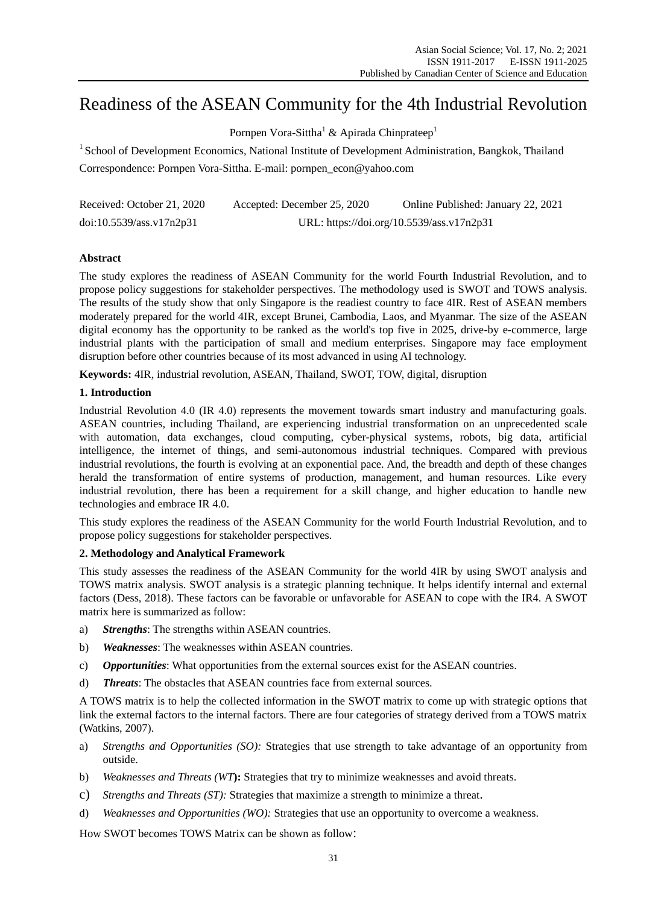# Readiness of the ASEAN Community for the 4th Industrial Revolution

Pornpen Vora-Sittha<sup>1</sup> & Apirada Chinprateep<sup>1</sup>

<sup>1</sup> School of Development Economics, National Institute of Development Administration, Bangkok, Thailand Correspondence: Pornpen Vora-Sittha. E-mail: pornpen\_econ@yahoo.com

| Received: October 21, 2020 | Accepted: December 25, 2020 | Online Published: January 22, 2021        |
|----------------------------|-----------------------------|-------------------------------------------|
| doi:10.5539/ass.v17n2p31   |                             | URL: https://doi.org/10.5539/ass.v17n2p31 |

# **Abstract**

The study explores the readiness of ASEAN Community for the world Fourth Industrial Revolution, and to propose policy suggestions for stakeholder perspectives. The methodology used is SWOT and TOWS analysis. The results of the study show that only Singapore is the readiest country to face 4IR. Rest of ASEAN members moderately prepared for the world 4IR, except Brunei, Cambodia, Laos, and Myanmar. The size of the ASEAN digital economy has the opportunity to be ranked as the world's top five in 2025, drive-by e-commerce, large industrial plants with the participation of small and medium enterprises. Singapore may face employment disruption before other countries because of its most advanced in using AI technology.

**Keywords:** 4IR, industrial revolution, ASEAN, Thailand, SWOT, TOW, digital, disruption

# **1. Introduction**

Industrial Revolution 4.0 (IR 4.0) represents the movement towards smart industry and manufacturing goals. ASEAN countries, including Thailand, are experiencing industrial transformation on an unprecedented scale with automation, data exchanges, cloud computing, cyber-physical systems, robots, big data, artificial intelligence, the internet of things, and semi-autonomous industrial techniques. Compared with previous industrial revolutions, the fourth is evolving at an exponential pace. And, the breadth and depth of these changes herald the transformation of entire systems of production, management, and human resources. Like every industrial revolution, there has been a requirement for a skill change, and higher education to handle new technologies and embrace IR 4.0.

This study explores the readiness of the ASEAN Community for the world Fourth Industrial Revolution, and to propose policy suggestions for stakeholder perspectives.

# **2. Methodology and Analytical Framework**

This study assesses the readiness of the ASEAN Community for the world 4IR by using SWOT analysis and TOWS matrix analysis. SWOT analysis is a strategic planning technique. It helps identify internal and external factors (Dess, 2018). These factors can be favorable or unfavorable for ASEAN to cope with the IR4. A SWOT matrix here is summarized as follow:

- a) *Strengths*: The strengths within ASEAN countries.
- b) *Weaknesses*: The weaknesses within ASEAN countries.
- c) *Opportunities*: What opportunities from the external sources exist for the ASEAN countries.
- d) *Threats*: The obstacles that ASEAN countries face from external sources.

A TOWS matrix is to help the collected information in the SWOT matrix to come up with strategic options that link the external factors to the internal factors. There are four categories of strategy derived from a TOWS matrix (Watkins, 2007).

- a) *Strengths and Opportunities (SO):* Strategies that use strength to take advantage of an opportunity from outside.
- b) *Weaknesses and Threats (WT***):** Strategies that try to minimize weaknesses and avoid threats.
- c) *Strengths and Threats (ST):* Strategies that maximize a strength to minimize a threat.
- d) *Weaknesses and Opportunities (WO):* Strategies that use an opportunity to overcome a weakness.

How SWOT becomes TOWS Matrix can be shown as follow: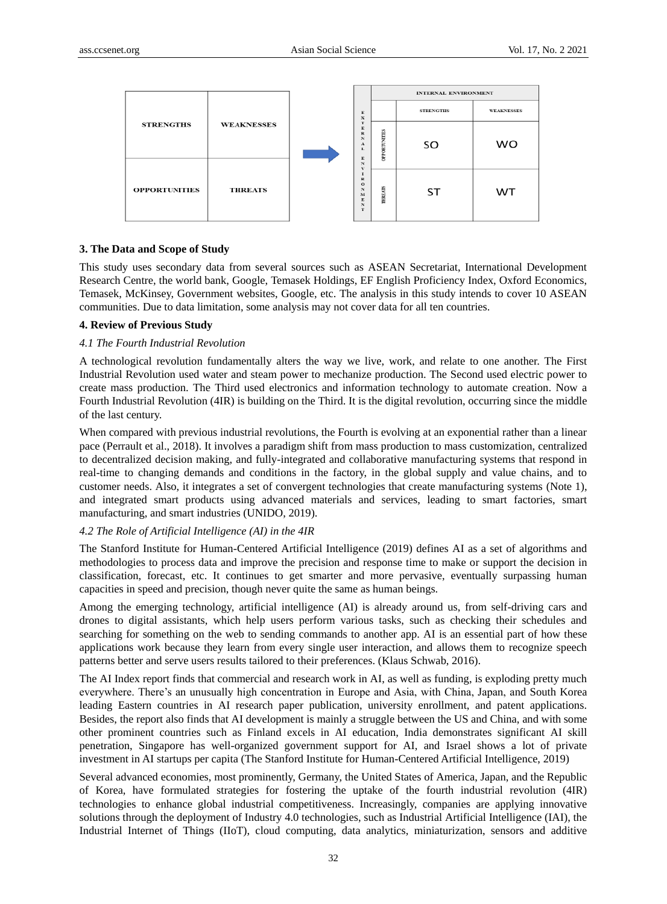

## **3. The Data and Scope of Study**

This study uses secondary data from several sources such as ASEAN Secretariat, International Development Research Centre, the world bank, Google, Temasek Holdings, EF English Proficiency Index, Oxford Economics, Temasek, McKinsey, Government websites, Google, etc. The analysis in this study intends to cover 10 ASEAN communities. Due to data limitation, some analysis may not cover data for all ten countries.

#### **4. Review of Previous Study**

#### *4.1 The Fourth Industrial Revolution*

A technological revolution fundamentally alters the way we live, work, and relate to one another. The First Industrial Revolution used water and steam power to mechanize production. The Second used electric power to create mass production. The Third used electronics and information technology to automate creation. Now a Fourth Industrial Revolution (4IR) is building on the Third. It is the digital revolution, occurring since the middle of the last century.

When compared with previous industrial revolutions, the Fourth is evolving at an exponential rather than a linear pace (Perrault et al., 2018). It involves a paradigm shift from mass production to mass customization, centralized to decentralized decision making, and fully-integrated and collaborative manufacturing systems that respond in real-time to changing demands and conditions in the factory, in the global supply and value chains, and to customer needs. Also, it integrates a set of convergent technologies that create manufacturing systems (Note 1), and integrated smart products using advanced materials and services, leading to smart factories, smart manufacturing, and smart industries (UNIDO, 2019).

## *4.2 The Role of Artificial Intelligence (AI) in the 4IR*

The Stanford Institute for Human-Centered Artificial Intelligence (2019) defines AI as a set of algorithms and methodologies to process data and improve the precision and response time to make or support the decision in classification, forecast, etc. It continues to get smarter and more pervasive, eventually surpassing human capacities in speed and precision, though never quite the same as human beings.

Among the emerging technology, artificial intelligence (AI) is already around us, from self-driving cars and drones to digital assistants, which help users perform various tasks, such as checking their schedules and searching for something on the web to sending commands to another app. AI is an essential part of how these applications work because they learn from every single user interaction, and allows them to recognize speech patterns better and serve users results tailored to their preferences. [\(Klaus Schwab,](https://www.weforum.org/agenda/authors/klaus-schwab) 2016).

The AI Index report finds that commercial and research work in AI, as well as funding, is exploding pretty much everywhere. There's an unusually high concentration in Europe and Asia, with China, Japan, and South Korea leading Eastern countries in AI research paper publication, university enrollment, and patent applications. Besides, the report also finds that AI development is mainly a struggle between the US and China, and with some other prominent countries such as Finland excels in AI education, India demonstrates significant AI skill penetration, Singapore has well-organized government support for AI, and Israel shows a lot of private investment in AI startups per capita (The Stanford Institute for Human-Centered Artificial Intelligence, 2019)

Several advanced economies, most prominently, Germany, the United States of America, Japan, and the Republic of Korea, have formulated strategies for fostering the uptake of the fourth industrial revolution (4IR) technologies to enhance global industrial competitiveness. Increasingly, companies are applying innovative solutions through the deployment of Industry 4.0 technologies, such as Industrial Artificial Intelligence (IAI), the Industrial Internet of Things (IIoT), cloud computing, data analytics, miniaturization, sensors and additive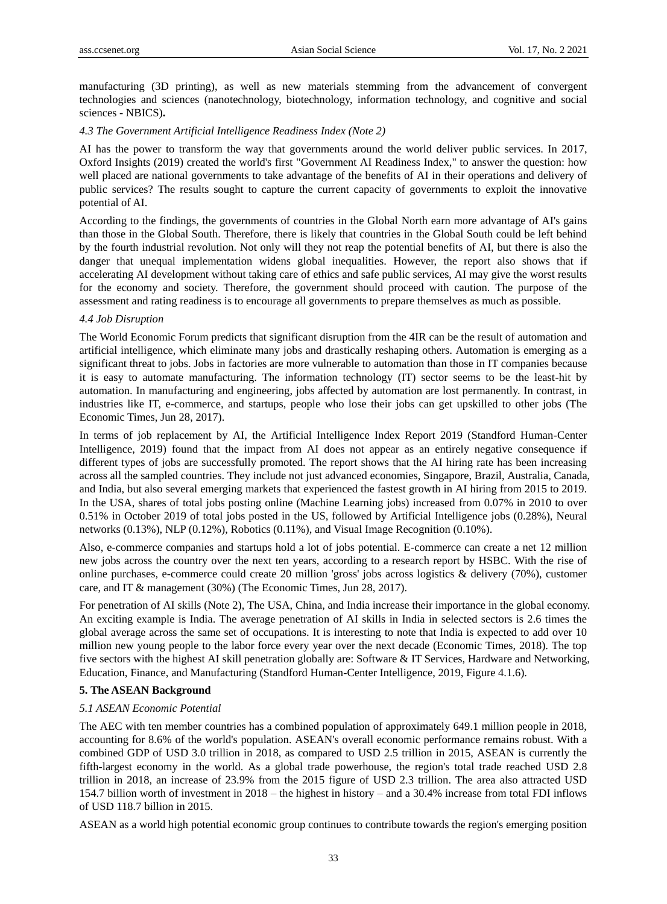manufacturing (3D printing), as well as new materials stemming from the advancement of convergent technologies and sciences (nanotechnology, biotechnology, information technology, and cognitive and social sciences - NBICS)**.** 

#### *4.3 The Government Artificial Intelligence Readiness Index (Note 2)*

AI has the power to transform the way that governments around the world deliver public services. In 2017, Oxford Insights (2019) created the world's first ["Government AI Readiness Index,](https://www.oxfordinsights.com/government-ai-readiness-index/)" to answer the question: how well placed are national governments to take advantage of the benefits of AI in their operations and delivery of public services? The results sought to capture the current capacity of governments to exploit the innovative potential of AI.

According to the findings, the governments of countries in the Global North earn more advantage of AI's gains than those in the Global South. Therefore, there is likely that countries in the Global South could be left behind by the fourth industrial revolution. Not only will they not reap the potential benefits of AI, but there is also the danger that unequal implementation widens global inequalities. However, the report also shows that if accelerating AI development without taking care of ethics and safe public services, AI may give the worst results for the economy and society. Therefore, the government should proceed with caution. The purpose of the assessment and rating readiness is to encourage all governments to prepare themselves as much as possible.

## *4.4 Job Disruption*

The World Economic Forum predicts that significant disruption from the 4IR can be the result of automation and artificial intelligence, which eliminate many jobs and drastically reshaping others. Automation is emerging as a significant threat to jobs. Jobs in factories are more vulnerable to automation than those in IT companies because it is easy to automate manufacturing. The information technology (IT) sector seems to be the least-hit by automation. In manufacturing and engineering, jobs affected by automation are lost permanently. In contrast, in industries like IT, e-commerce, and startups, people who lose their jobs can get upskilled to other jobs (The Economic Times, Jun 28, 2017).

In terms of job replacement by AI, the Artificial Intelligence Index Report 2019 (Standford Human-Center Intelligence, 2019) found that the impact from AI does not appear as an entirely negative consequence if different types of jobs are successfully promoted. The report shows that the AI hiring rate has been increasing across all the sampled countries. They include not just advanced economies, Singapore, Brazil, Australia, Canada, and India, but also several emerging markets that experienced the fastest growth in AI hiring from 2015 to 2019. In the USA, shares of total jobs posting online (Machine Learning jobs) increased from 0.07% in 2010 to over 0.51% in October 2019 of total jobs posted in the US, followed by Artificial Intelligence jobs (0.28%), Neural networks (0.13%), NLP (0.12%), Robotics (0.11%), and Visual Image Recognition (0.10%).

Also, e-commerce companies and startups hold a lot of jobs potential. E-commerce can create a net 12 million new jobs across the country over the next ten years, according to a research report by HSBC. With the rise of online purchases, e-commerce could create 20 million 'gross' jobs across logistics & delivery (70%), customer care, and IT & management (30%) (The Economic Times, Jun 28, 2017).

For penetration of AI skills (Note 2), The USA, China, and India increase their importance in the global economy. An exciting example is India. The average penetration of AI skills in India in selected sectors is 2.6 times the global average across the same set of occupations. It is interesting to note that India is expected to add over 10 million new young people to the labor force every year over the next decade (Economic Times, 2018). The top five sectors with the highest AI skill penetration globally are: Software & IT Services, Hardware and Networking, Education, Finance, and Manufacturing (Standford Human-Center Intelligence, 2019, Figure 4.1.6).

#### **5. The ASEAN Background**

#### *5.1 ASEAN Economic Potential*

The AEC with ten member countries has a combined population of approximately 649.1 million people in 2018, accounting for 8.6% of the world's population. ASEAN's overall economic performance remains robust. With a combined GDP of USD 3.0 trillion in 2018, as compared to USD 2.5 trillion in 2015, ASEAN is currently the fifth-largest economy in the world. As a global trade powerhouse, the region's total trade reached USD 2.8 trillion in 2018, an increase of 23.9% from the 2015 figure of USD 2.3 trillion. The area also attracted USD 154.7 billion worth of investment in 2018 – the highest in history – and a 30.4% increase from total FDI inflows of USD 118.7 billion in 2015.

ASEAN as a world high potential economic group continues to contribute towards the region's emerging position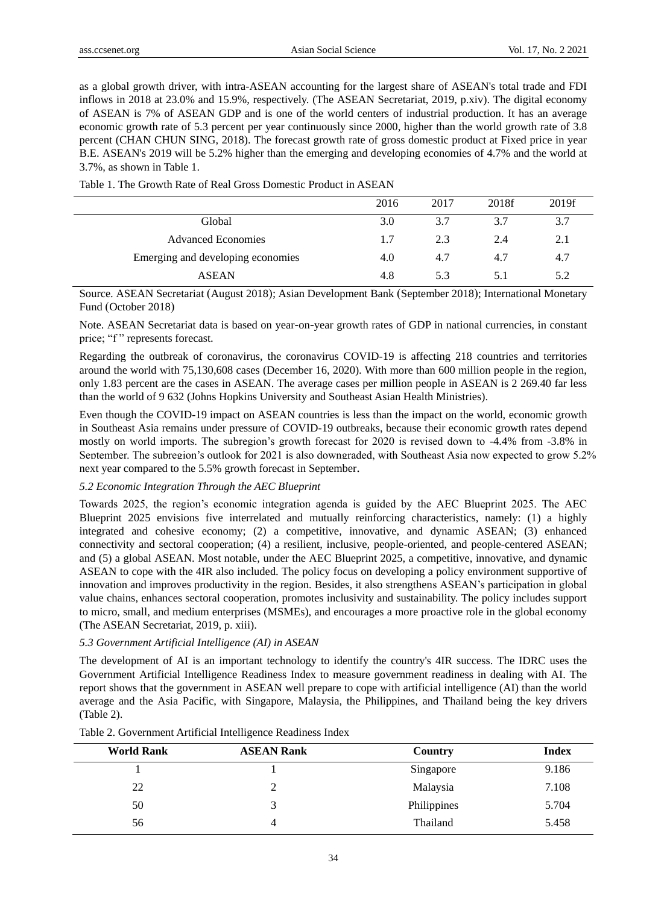as a global growth driver, with intra-ASEAN accounting for the largest share of ASEAN's total trade and FDI inflows in 2018 at 23.0% and 15.9%, respectively. (The ASEAN Secretariat, 2019, p.xiv). The digital economy of ASEAN is 7% of ASEAN GDP and is one of the world centers of industrial production. It has an average economic growth rate of 5.3 percent per year continuously since 2000, higher than the world growth rate of 3.8 percent (CHAN CHUN SING, 2018). The forecast growth rate of gross domestic product at Fixed price in year B.E. ASEAN's 2019 will be 5.2% higher than the emerging and developing economies of 4.7% and the world at 3.7%, as shown in Table 1.

| 2016 | 2017 | 2018f | 2019f |
|------|------|-------|-------|
| 3.0  | 3.7  | 3.7   | 3.7   |
| 1.7  | 2.3  | 2.4   | 2.1   |
| 4.0  | 4.7  | 4.7   | 4.7   |
| 4.8  | 5.3  | 5.1   | 5.2   |
|      |      |       |       |

Table 1. The Growth Rate of Real Gross Domestic Product in ASEAN

Source. ASEAN Secretariat (August 2018); Asian Development Bank (September 2018); International Monetary Fund (October 2018)

Note. ASEAN Secretariat data is based on year-on-year growth rates of GDP in national currencies, in constant price; "f" represents forecast.

Regarding the outbreak of coronavirus, the coronavirus COVID-19 is affecting 218 countries and territories around the world with 75,130,608 cases (December 16, 2020). With more than 600 million people in the region, only 1.83 percent are the cases in ASEAN. The average cases per million people in ASEAN is 2 269.40 far less than the world of 9 632 [\(Johns Hopkins University](https://www.arcgis.com/apps/opsdashboard/index.html#/bda7594740fd40299423467b48e9ecf6) and Southeast Asian Health Ministries).

Even though the COVID-19 impact on ASEAN countries is less than the impact on the world, economic growth in Southeast Asia remains under pressure of COVID-19 outbreaks, because their economic growth rates depend mostly on world imports. The subregion's growth forecast for 2020 is revised down to -4.4% from -3.8% in September. The subregion's outlook for 2021 is also downgraded, with Southeast Asia now expected to grow 5.2% next year compared to the 5.5% growth forecast in September.

#### *5.2 Economic Integration Through the AEC Blueprint*

Towards 2025, the region's economic integration agenda is guided by the AEC Blueprint 2025. The AEC Blueprint 2025 envisions five interrelated and mutually reinforcing characteristics, namely: (1) a highly integrated and cohesive economy; (2) a competitive, innovative, and dynamic ASEAN; (3) enhanced connectivity and sectoral cooperation; (4) a resilient, inclusive, people-oriented, and people-centered ASEAN; and (5) a global ASEAN. Most notable, under the AEC Blueprint 2025, a competitive, innovative, and dynamic ASEAN to cope with the 4IR also included. The policy focus on developing a policy environment supportive of innovation and improves productivity in the region. Besides, it also strengthens ASEAN's participation in global value chains, enhances sectoral cooperation, promotes inclusivity and sustainability. The policy includes support to micro, small, and medium enterprises (MSMEs), and encourages a more proactive role in the global economy (The ASEAN Secretariat, 2019, p. xiii).

#### *5.3 Government Artificial Intelligence (AI) in ASEAN*

The development of AI is an important technology to identify the country's 4IR success. The IDRC uses the Government Artificial Intelligence Readiness Index to measure government readiness in dealing with AI. The report shows that the government in ASEAN well prepare to cope with artificial intelligence (AI) than the world average and the Asia Pacific, with Singapore, Malaysia, the Philippines, and Thailand being the key drivers (Table 2).

| <b>World Rank</b> | <b>ASEAN Rank</b> | Country     | <b>Index</b> |
|-------------------|-------------------|-------------|--------------|
|                   |                   | Singapore   | 9.186        |
| 22                |                   | Malaysia    | 7.108        |
| 50                |                   | Philippines | 5.704        |
| 56                |                   | Thailand    | 5.458        |

Table 2. Government Artificial Intelligence Readiness Index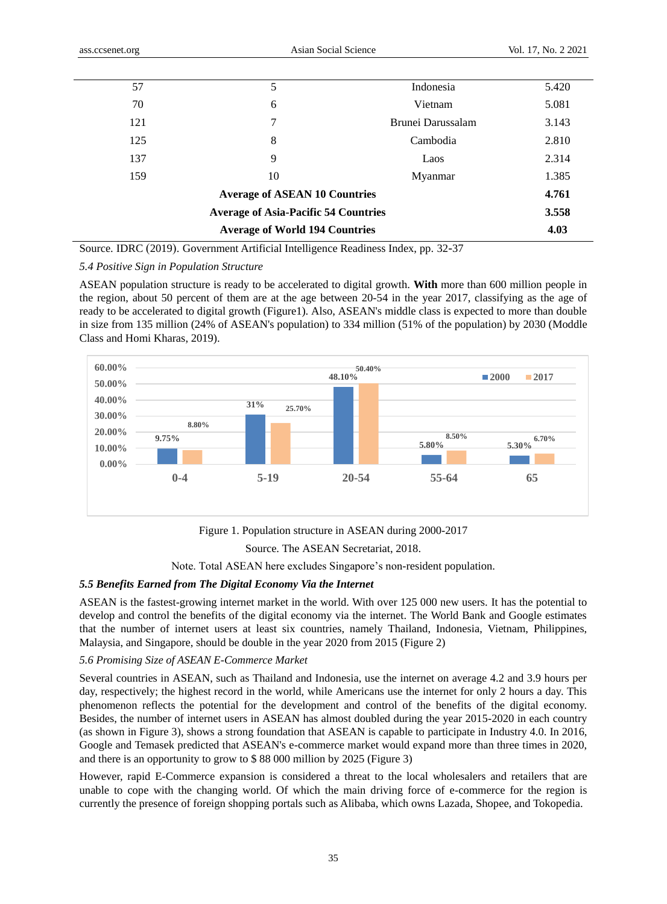| 57  | 5                                           | Indonesia         | 5.420 |
|-----|---------------------------------------------|-------------------|-------|
| 70  | 6                                           | Vietnam           | 5.081 |
| 121 | 7                                           | Brunei Darussalam | 3.143 |
| 125 | 8                                           | Cambodia          | 2.810 |
| 137 | 9                                           | Laos              | 2.314 |
| 159 | 10                                          | Myanmar           | 1.385 |
|     | <b>Average of ASEAN 10 Countries</b>        |                   | 4.761 |
|     | <b>Average of Asia-Pacific 54 Countries</b> |                   | 3.558 |
|     | <b>Average of World 194 Countries</b>       |                   | 4.03  |
|     |                                             |                   |       |

Source. IDRC (2019). Government Artificial Intelligence Readiness Index, pp. 32-37

## *5.4 Positive Sign in Population Structure*

ASEAN population structure is ready to be accelerated to digital growth. **With** more than 600 million people in the region, about 50 percent of them are at the age between 20-54 in the year 2017, classifying as the age of ready to be accelerated to digital growth (Figure1). Also, ASEAN's middle class is expected to more than double in size from 135 million (24% of ASEAN's population) to 334 million (51% of the population) by 2030 (Moddle Class and Homi Kharas, 2019).



Figure 1. Population structure in ASEAN during 2000-2017 Source. The ASEAN Secretariat, 2018.

Note. Total ASEAN here excludes Singapore's non-resident population.

## *5.5 Benefits Earned from The Digital Economy Via the Internet*

ASEAN is the fastest-growing internet market in the world. With over 125 000 new users. It has the potential to develop and control the benefits of the digital economy via the internet. The World Bank and Google estimates that the number of internet users at least six countries, namely Thailand, Indonesia, Vietnam, Philippines, Malaysia, and Singapore, should be double in the year 2020 from 2015 (Figure 2)

## *5.6 Promising Size of ASEAN E-Commerce Market*

Several countries in ASEAN, such as Thailand and Indonesia, use the internet on average 4.2 and 3.9 hours per day, respectively; the highest record in the world, while Americans use the internet for only 2 hours a day. This phenomenon reflects the potential for the development and control of the benefits of the digital economy. Besides, the number of internet users in ASEAN has almost doubled during the year 2015-2020 in each country (as shown in Figure 3), shows a strong foundation that ASEAN is capable to participate in Industry 4.0. In 2016, Google and Temasek predicted that ASEAN's e-commerce market would expand more than three times in 2020, and there is an opportunity to grow to \$ 88 000 million by 2025 (Figure 3)

However, rapid E-Commerce expansion is considered a threat to the local wholesalers and retailers that are unable to cope with the changing world. Of which the main driving force of e-commerce for the region is currently the presence of foreign shopping portals such as Alibaba, which owns Lazada, Shopee, and Tokopedia.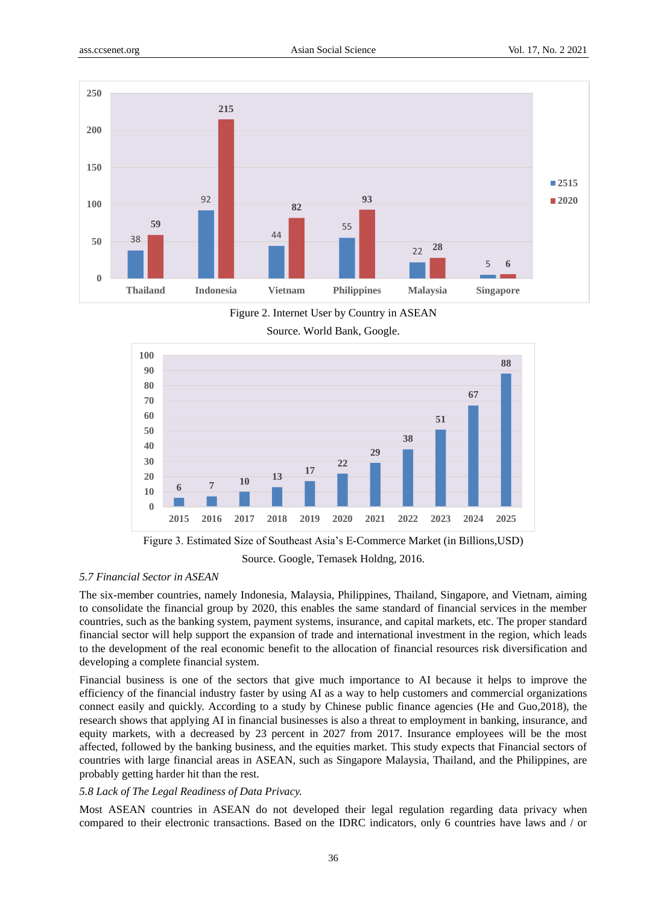

Figure 2. Internet User by Country in ASEAN

Source. World Bank, Google.



Figure 3. Estimated Size of Southeast Asia's E-Commerce Market (in Billions,USD) Source. Google, Temasek Holdng, 2016.

# *5.7 Financial Sector in ASEAN*

The six-member countries, namely Indonesia, Malaysia, Philippines, Thailand, Singapore, and Vietnam, aiming to consolidate the financial group by 2020, this enables the same standard of financial services in the member countries, such as the banking system, payment systems, insurance, and capital markets, etc. The proper standard financial sector will help support the expansion of trade and international investment in the region, which leads to the development of the real economic benefit to the allocation of financial resources risk diversification and developing a complete financial system.

Financial business is one of the sectors that give much importance to AI because it helps to improve the efficiency of the financial industry faster by using AI as a way to help customers and commercial organizations connect easily and quickly. According to a study by Chinese public finance agencies (He and Guo,2018), the research shows that applying AI in financial businesses is also a threat to employment in banking, insurance, and equity markets, with a decreased by 23 percent in 2027 from 2017. Insurance employees will be the most affected, followed by the banking business, and the equities market. This study expects that Financial sectors of countries with large financial areas in ASEAN, such as Singapore Malaysia, Thailand, and the Philippines, are probably getting harder hit than the rest.

#### *5.8 Lack of The Legal Readiness of Data Privacy.*

Most ASEAN countries in ASEAN do not developed their legal regulation regarding data privacy when compared to their electronic transactions. Based on the IDRC indicators, only 6 countries have laws and / or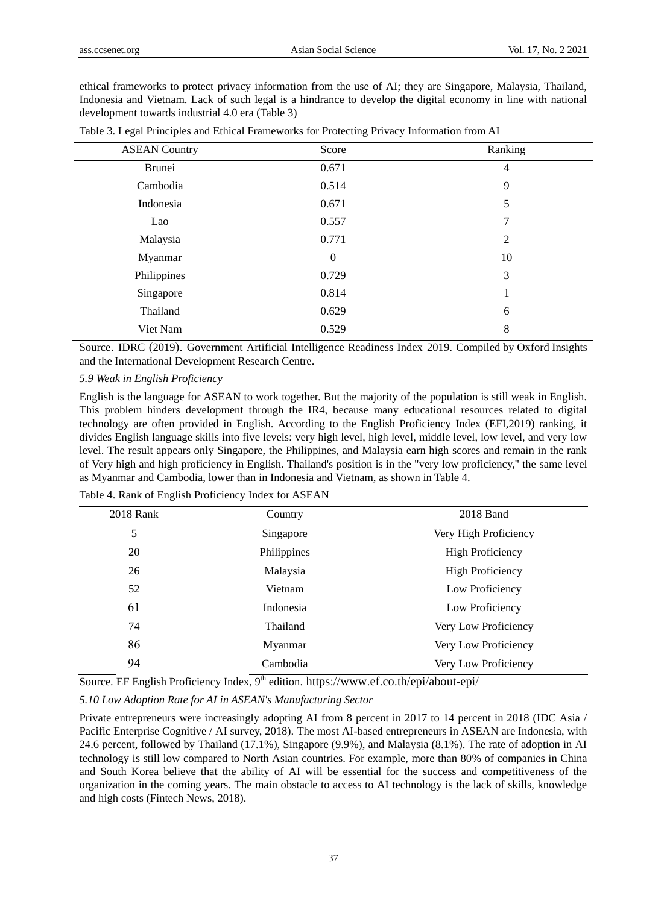ethical frameworks to protect privacy information from the use of AI; they are Singapore, Malaysia, Thailand, Indonesia and Vietnam. Lack of such legal is a hindrance to develop the digital economy in line with national development towards industrial 4.0 era (Table 3)

| <b>ASEAN Country</b> | Score    | Ranking        |
|----------------------|----------|----------------|
| Brunei               | 0.671    | $\overline{4}$ |
| Cambodia             | 0.514    | 9              |
| Indonesia            | 0.671    | 5              |
| Lao                  | 0.557    | 7              |
| Malaysia             | 0.771    | $\overline{2}$ |
| Myanmar              | $\theta$ | 10             |
| Philippines          | 0.729    | 3              |
| Singapore            | 0.814    | 1              |
| Thailand             | 0.629    | 6              |
| Viet Nam             | 0.529    | 8              |

|  |  | Table 3. Legal Principles and Ethical Frameworks for Protecting Privacy Information from AI |  |  |
|--|--|---------------------------------------------------------------------------------------------|--|--|
|--|--|---------------------------------------------------------------------------------------------|--|--|

Source. IDRC (2019). Government Artificial Intelligence Readiness Index 2019. Compiled by Oxford Insights and the International Development Research Centre.

## *5.9 Weak in English Proficiency*

English is the language for ASEAN to work together. But the majority of the population is still weak in English. This problem hinders development through the IR4, because many educational resources related to digital technology are often provided in English. According to the English Proficiency Index (EFI,2019) ranking, it divides English language skills into five levels: very high level, high level, middle level, low level, and very low level. The result appears only Singapore, the Philippines, and Malaysia earn high scores and remain in the rank of Very high and high proficiency in English. Thailand's position is in the "very low proficiency," the same level as Myanmar and Cambodia, lower than in Indonesia and Vietnam, as shown in Table 4.

| 2018 Rank | Country     | 2018 Band               |
|-----------|-------------|-------------------------|
| 5         | Singapore   | Very High Proficiency   |
| 20        | Philippines | <b>High Proficiency</b> |
| 26        | Malaysia    | <b>High Proficiency</b> |
| 52        | Vietnam     | Low Proficiency         |
| 61        | Indonesia   | Low Proficiency         |
| 74        | Thailand    | Very Low Proficiency    |
| 86        | Myanmar     | Very Low Proficiency    |
| 94        | Cambodia    | Very Low Proficiency    |

Table 4. Rank of English Proficiency Index for ASEAN

Source. [EF English Proficiency Index,](https://www.ef.co.th/epi/) 9<sup>th</sup> edition. <https://www.ef.co.th/epi/about-epi/>

*5.10 Low Adoption Rate for AI in ASEAN's Manufacturing Sector*

Private entrepreneurs were increasingly adopting AI from 8 percent in 2017 to 14 percent in 2018 (IDC Asia / Pacific Enterprise Cognitive / AI survey, 2018). The most AI-based entrepreneurs in ASEAN are Indonesia, with 24.6 percent, followed by Thailand (17.1%), Singapore (9.9%), and Malaysia (8.1%). The rate of adoption in AI technology is still low compared to North Asian countries. For example, more than 80% of companies in China and South Korea believe that the ability of AI will be essential for the success and competitiveness of the organization in the coming years. The main obstacle to access to AI technology is the lack of skills, knowledge and high costs (Fintech News, 2018).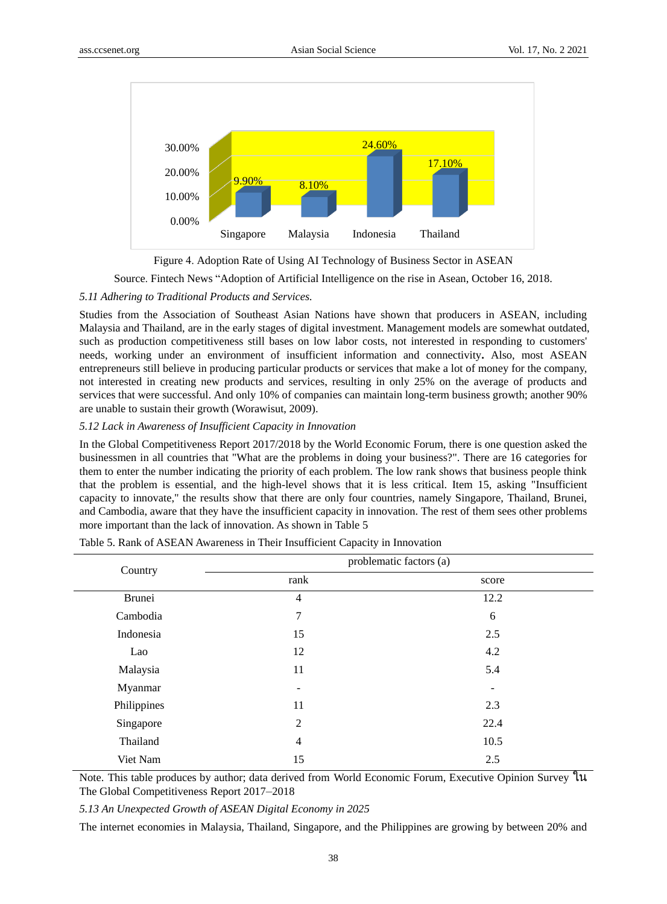



Source. Fintech News "Adoption of Artificial Intelligence on the rise in Asean, October 16, 2018.

#### *5.11 Adhering to Traditional Products and Services.*

Studies from the Association of Southeast Asian Nations have shown that producers in ASEAN, including Malaysia and Thailand, are in the early stages of digital investment. Management models are somewhat outdated, such as production competitiveness still bases on low labor costs, not interested in responding to customers' needs, working under an environment of insufficient information and connectivity**.** Also, most ASEAN entrepreneurs still believe in producing particular products or services that make a lot of money for the company, not interested in creating new products and services, resulting in only 25% on the average of products and services that were successful. And only 10% of companies can maintain long-term business growth; another 90% are unable to sustain their growth (Worawisut, 2009).

#### *5.12 Lack in Awareness of Insufficient Capacity in Innovation*

In the Global Competitiveness Report 2017/2018 by the World Economic Forum, there is one question asked the businessmen in all countries that "What are the problems in doing your business?". There are 16 categories for them to enter the number indicating the priority of each problem. The low rank shows that business people think that the problem is essential, and the high-level shows that it is less critical. Item 15, asking "Insufficient capacity to innovate," the results show that there are only four countries, namely Singapore, Thailand, Brunei, and Cambodia, aware that they have the insufficient capacity in innovation. The rest of them sees other problems more important than the lack of innovation. As shown in Table 5

| Country     |                          | problematic factors (a)  |  |
|-------------|--------------------------|--------------------------|--|
|             | rank                     | score                    |  |
| Brunei      | $\overline{4}$           | 12.2                     |  |
| Cambodia    | 7                        | 6                        |  |
| Indonesia   | 15                       | 2.5                      |  |
| Lao         | 12                       | 4.2                      |  |
| Malaysia    | 11                       | 5.4                      |  |
| Myanmar     | $\overline{\phantom{a}}$ | $\overline{\phantom{0}}$ |  |
| Philippines | 11                       | 2.3                      |  |
| Singapore   | $\overline{2}$           | 22.4                     |  |
| Thailand    | $\overline{4}$           | 10.5                     |  |
| Viet Nam    | 15                       | 2.5                      |  |

Table 5. Rank of ASEAN Awareness in Their Insufficient Capacity in Innovation

Note. This table produces by author; data derived from World Economic Forum, Executive Opinion Survey ใน The Global Competitiveness Report 2017–2018

*5.13 An Unexpected Growth of ASEAN Digital Economy in 2025*

The internet economies in Malaysia, Thailand, Singapore, and the Philippines are growing by between 20% and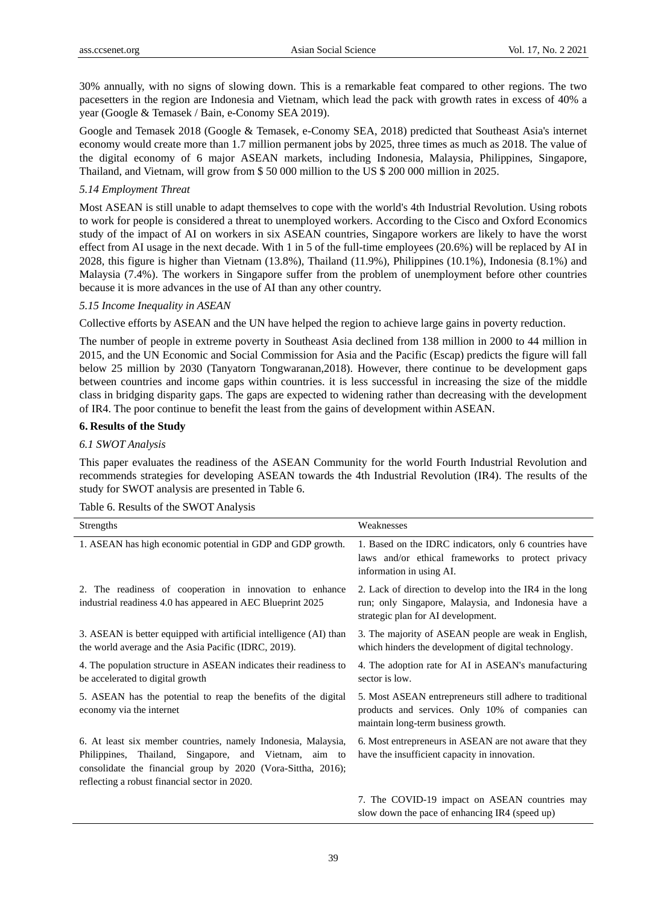30% annually, with no signs of slowing down. This is a remarkable feat compared to other regions. The two pacesetters in the region are Indonesia and Vietnam, which lead the pack with growth rates in excess of 40% a year (Google & Temasek / Bain, e-Conomy SEA 2019).

Google and Temasek 2018 (Google & Temasek, e-Conomy SEA, 2018) predicted that Southeast Asia's internet economy would create more than 1.7 million permanent jobs by 2025, three times as much as 2018. The value of the digital economy of 6 major ASEAN markets, including Indonesia, Malaysia, Philippines, Singapore, Thailand, and Vietnam, will grow from \$ 50 000 million to the US \$ 200 000 million in 2025.

## *5.14 Employment Threat*

Most ASEAN is still unable to adapt themselves to cope with the world's 4th Industrial Revolution. Using robots to work for people is considered a threat to unemployed workers. According to the Cisco and Oxford Economics study of the impact of AI on workers in six ASEAN countries, Singapore workers are likely to have the worst effect from AI usage in the next decade. With 1 in 5 of the full-time employees (20.6%) will be replaced by AI in 2028, this figure is higher than Vietnam (13.8%), Thailand (11.9%), Philippines (10.1%), Indonesia (8.1%) and Malaysia (7.4%). The workers in Singapore suffer from the problem of unemployment before other countries because it is more advances in the use of AI than any other country.

#### *5.15 Income Inequality in ASEAN*

Collective efforts by ASEAN and the UN have helped the region to achieve large gains in poverty reduction.

The number of people in extreme poverty in Southeast Asia declined from 138 million in 2000 to 44 million in 2015, and the UN Economic and Social Commission for Asia and the Pacific (Escap) predicts the figure will fall below 25 million by 2030 (Tanyatorn Tongwaranan,2018). However, there continue to be development gaps between countries and income gaps within countries. it is less successful in increasing the size of the middle class in bridging disparity gaps. The gaps are expected to widening rather than decreasing with the development of IR4. The poor continue to benefit the least from the gains of development within ASEAN.

#### **6. Results of the Study**

# *6.1 SWOT Analysis*

This paper evaluates the readiness of the ASEAN Community for the world Fourth Industrial Revolution and recommends strategies for developing ASEAN towards the 4th Industrial Revolution (IR4). The results of the study for SWOT analysis are presented in Table 6.

| Strengths                                                                                                                                                                                                                                     | Weaknesses                                                                                                                                            |
|-----------------------------------------------------------------------------------------------------------------------------------------------------------------------------------------------------------------------------------------------|-------------------------------------------------------------------------------------------------------------------------------------------------------|
| 1. ASEAN has high economic potential in GDP and GDP growth.                                                                                                                                                                                   | 1. Based on the IDRC indicators, only 6 countries have<br>laws and/or ethical frameworks to protect privacy<br>information in using AI.               |
| 2. The readiness of cooperation in innovation to enhance<br>industrial readiness 4.0 has appeared in AEC Blueprint 2025                                                                                                                       | 2. Lack of direction to develop into the IR4 in the long<br>run; only Singapore, Malaysia, and Indonesia have a<br>strategic plan for AI development. |
| 3. ASEAN is better equipped with artificial intelligence (AI) than<br>the world average and the Asia Pacific (IDRC, 2019).                                                                                                                    | 3. The majority of ASEAN people are weak in English,<br>which hinders the development of digital technology.                                          |
| 4. The population structure in ASEAN indicates their readiness to<br>be accelerated to digital growth                                                                                                                                         | 4. The adoption rate for AI in ASEAN's manufacturing<br>sector is low.                                                                                |
| 5. ASEAN has the potential to reap the benefits of the digital<br>economy via the internet                                                                                                                                                    | 5. Most ASEAN entrepreneurs still adhere to traditional<br>products and services. Only 10% of companies can<br>maintain long-term business growth.    |
| 6. At least six member countries, namely Indonesia, Malaysia,<br>Thailand,<br>Philippines,<br>Singapore, and Vietnam, aim to<br>consolidate the financial group by 2020 (Vora-Sittha, 2016);<br>reflecting a robust financial sector in 2020. | 6. Most entrepreneurs in ASEAN are not aware that they<br>have the insufficient capacity in innovation.                                               |
|                                                                                                                                                                                                                                               | 7. The COVID-19 impact on ASEAN countries may<br>slow down the pace of enhancing IR4 (speed up)                                                       |

Table 6. Results of the SWOT Analysis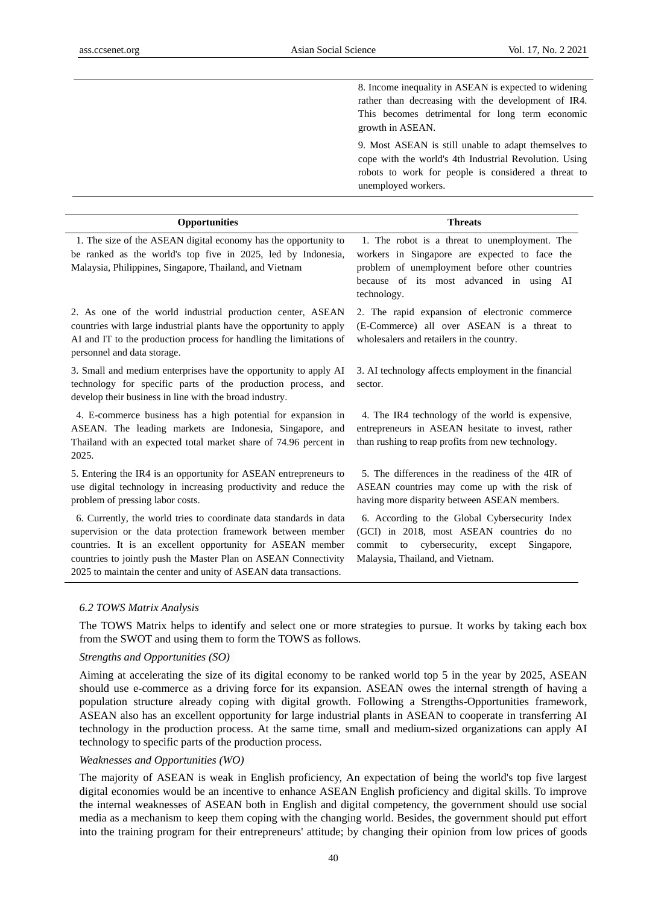8. Income inequality in ASEAN is expected to widening rather than decreasing with the development of IR4. This becomes detrimental for long term economic growth in ASEAN.

9. Most ASEAN is still unable to adapt themselves to cope with the world's 4th Industrial Revolution. Using robots to work for people is considered a threat to unemployed workers.

| <b>Opportunities</b>                                                                                                                                                                                                                                                                                                                    | <b>Threats</b>                                                                                                                                                                                              |
|-----------------------------------------------------------------------------------------------------------------------------------------------------------------------------------------------------------------------------------------------------------------------------------------------------------------------------------------|-------------------------------------------------------------------------------------------------------------------------------------------------------------------------------------------------------------|
| 1. The size of the ASEAN digital economy has the opportunity to<br>be ranked as the world's top five in 2025, led by Indonesia,<br>Malaysia, Philippines, Singapore, Thailand, and Vietnam                                                                                                                                              | 1. The robot is a threat to unemployment. The<br>workers in Singapore are expected to face the<br>problem of unemployment before other countries<br>because of its most advanced in using AI<br>technology. |
| 2. As one of the world industrial production center, ASEAN<br>countries with large industrial plants have the opportunity to apply<br>AI and IT to the production process for handling the limitations of<br>personnel and data storage.                                                                                                | 2. The rapid expansion of electronic commerce<br>(E-Commerce) all over ASEAN is a threat to<br>wholesalers and retailers in the country.                                                                    |
| 3. Small and medium enterprises have the opportunity to apply AI<br>technology for specific parts of the production process, and<br>develop their business in line with the broad industry.                                                                                                                                             | 3. AI technology affects employment in the financial<br>sector.                                                                                                                                             |
| 4. E-commerce business has a high potential for expansion in<br>ASEAN. The leading markets are Indonesia, Singapore, and<br>Thailand with an expected total market share of 74.96 percent in<br>2025.                                                                                                                                   | 4. The IR4 technology of the world is expensive,<br>entrepreneurs in ASEAN hesitate to invest, rather<br>than rushing to reap profits from new technology.                                                  |
| 5. Entering the IR4 is an opportunity for ASEAN entrepreneurs to<br>use digital technology in increasing productivity and reduce the<br>problem of pressing labor costs.                                                                                                                                                                | 5. The differences in the readiness of the 4IR of<br>ASEAN countries may come up with the risk of<br>having more disparity between ASEAN members.                                                           |
| 6. Currently, the world tries to coordinate data standards in data<br>supervision or the data protection framework between member<br>countries. It is an excellent opportunity for ASEAN member<br>countries to jointly push the Master Plan on ASEAN Connectivity<br>2025 to maintain the center and unity of ASEAN data transactions. | 6. According to the Global Cybersecurity Index<br>(GCI) in 2018, most ASEAN countries do no<br>commit to cybersecurity, except<br>Singapore,<br>Malaysia, Thailand, and Vietnam.                            |

#### *6.2 TOWS Matrix Analysis*

The TOWS Matrix helps to identify and select one or more strategies to pursue. It works by taking each box from the SWOT and using them to form the TOWS as follows.

# *Strengths and Opportunities (SO)*

Aiming at accelerating the size of its digital economy to be ranked world top 5 in the year by 2025, ASEAN should use e-commerce as a driving force for its expansion. ASEAN owes the internal strength of having a population structure already coping with digital growth. Following a Strengths-Opportunities framework, ASEAN also has an excellent opportunity for large industrial plants in ASEAN to cooperate in transferring AI technology in the production process. At the same time, small and medium-sized organizations can apply AI technology to specific parts of the production process.

#### *Weaknesses and Opportunities (WO)*

The majority of ASEAN is weak in English proficiency, An expectation of being the world's top five largest digital economies would be an incentive to enhance ASEAN English proficiency and digital skills. To improve the internal weaknesses of ASEAN both in English and digital competency, the government should use social media as a mechanism to keep them coping with the changing world. Besides, the government should put effort into the training program for their entrepreneurs' attitude; by changing their opinion from low prices of goods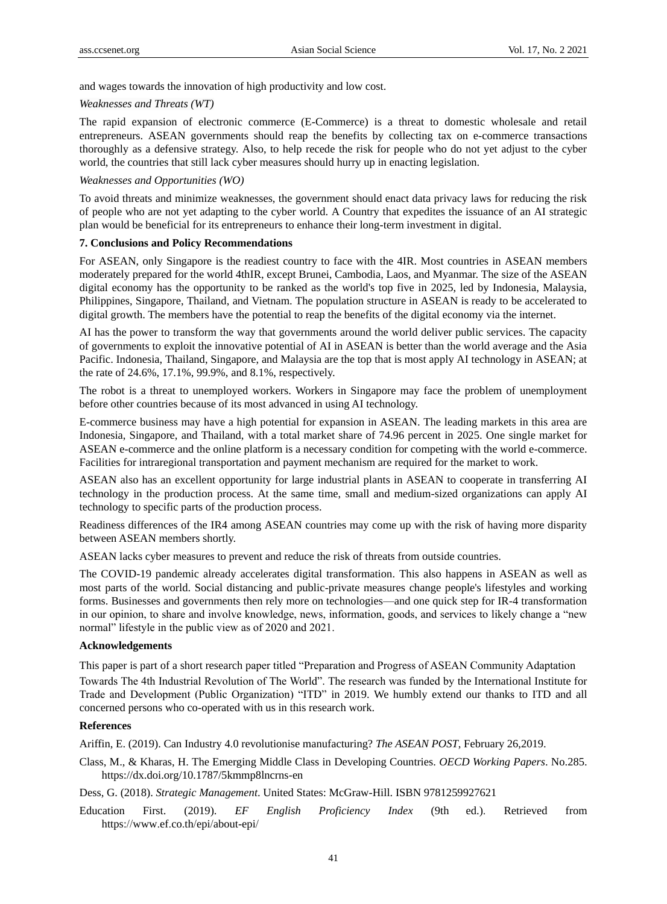and wages towards the innovation of high productivity and low cost.

#### *Weaknesses and Threats (WT)*

The rapid expansion of electronic commerce (E-Commerce) is a threat to domestic wholesale and retail entrepreneurs. ASEAN governments should reap the benefits by collecting tax on e-commerce transactions thoroughly as a defensive strategy. Also, to help recede the risk for people who do not yet adjust to the cyber world, the countries that still lack cyber measures should hurry up in enacting legislation.

#### *Weaknesses and Opportunities (WO)*

To avoid threats and minimize weaknesses, the government should enact data privacy laws for reducing the risk of people who are not yet adapting to the cyber world. A Country that expedites the issuance of an AI strategic plan would be beneficial for its entrepreneurs to enhance their long-term investment in digital.

## **7. Conclusions and Policy Recommendations**

For ASEAN, only Singapore is the readiest country to face with the 4IR. Most countries in ASEAN members moderately prepared for the world 4thIR, except Brunei, Cambodia, Laos, and Myanmar. The size of the ASEAN digital economy has the opportunity to be ranked as the world's top five in 2025, led by Indonesia, Malaysia, Philippines, Singapore, Thailand, and Vietnam. The population structure in ASEAN is ready to be accelerated to digital growth. The members have the potential to reap the benefits of the digital economy via the internet.

AI has the power to transform the way that governments around the world deliver public services. The capacity of governments to exploit the innovative potential of AI in ASEAN is better than the world average and the Asia Pacific. Indonesia, Thailand, Singapore, and Malaysia are the top that is most apply AI technology in ASEAN; at the rate of 24.6%, 17.1%, 99.9%, and 8.1%, respectively.

The robot is a threat to unemployed workers. Workers in Singapore may face the problem of unemployment before other countries because of its most advanced in using AI technology.

E-commerce business may have a high potential for expansion in ASEAN. The leading markets in this area are Indonesia, Singapore, and Thailand, with a total market share of 74.96 percent in 2025. One single market for ASEAN e-commerce and the online platform is a necessary condition for competing with the world e-commerce. Facilities for intraregional transportation and payment mechanism are required for the market to work.

ASEAN also has an excellent opportunity for large industrial plants in ASEAN to cooperate in transferring AI technology in the production process. At the same time, small and medium-sized organizations can apply AI technology to specific parts of the production process.

Readiness differences of the IR4 among ASEAN countries may come up with the risk of having more disparity between ASEAN members shortly.

ASEAN lacks cyber measures to prevent and reduce the risk of threats from outside countries.

The COVID-19 pandemic already accelerates digital transformation. This also happens in ASEAN as well as most parts of the world. Social distancing and public-private measures change people's lifestyles and working forms. Businesses and governments then rely more on technologies—and one quick step for IR-4 transformation in our opinion, to share and involve knowledge, news, information, goods, and services to likely change a "new normal" lifestyle in the public view as of 2020 and 2021.

#### **Acknowledgements**

This paper is part of a short research paper titled "Preparation and Progress of ASEAN Community Adaptation Towards The 4th Industrial Revolution of The World". The research was funded by the International Institute for Trade and Development (Public Organization) "ITD" in 2019. We humbly extend our thanks to ITD and all concerned persons who co-operated with us in this research work.

## **References**

Ariffin, E. (2019). Can Industry 4.0 revolutionise manufacturing? *The ASEAN POST*, February 26,2019.

Class, M., & Kharas, H. The Emerging Middle Class in Developing Countries. *OECD Working Papers*. No.285. https://dx.doi.org/10.1787/5kmmp8lncrns-en

Dess, G. (2018). *Strategic Management*. United States: McGraw-Hill. [ISBN](https://en.wikipedia.org/wiki/International_Standard_Book_Number) [9781259927621](https://en.wikipedia.org/wiki/Special:BookSources/9781259927621)

Education First. (2019). *[EF English Proficiency Index](file:///F:/Active/วิจัยส่ง%20ITD/industry%204.0%20all/Industry%204.0%20_all/รวมงานส่ง%20itd/EF%20English%20Proficiency%20Index)* (9th ed.). Retrieved from <https://www.ef.co.th/epi/about-epi/>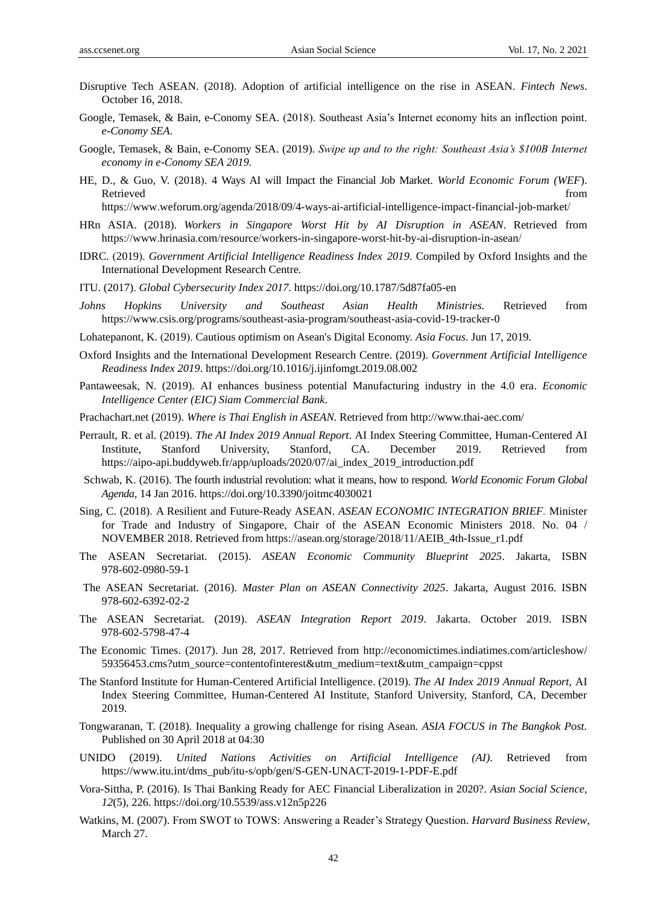- Disruptive Tech ASEAN. (2018). Adoption of artificial intelligence on the rise in ASEAN. *Fintech News*. October 16, 2018.
- Google, Temasek, & Bain, e-Conomy SEA. (2018). Southeast Asia's Internet economy hits an inflection point. *e-Conomy SEA*.
- Google, Temasek, & Bain, e-Conomy SEA. (2019). *Swipe up and to the right: Southeast Asia's \$100B Internet economy in e-Conomy SEA 2019.*
- HE, D., & Guo, V. (2018). 4 Ways AI will Impact the Financial Job Market. *World Economic Forum (WEF*). Retrieved that the contract of the contract of the contract of the contract of the contract of the contract of the contract of the contract of the contract of the contract of the contract of the contract of the contract of

https://www.weforum.org/agenda/2018/09/4-ways-ai-artificial-intelligence-impact-financial-job-market/

- HRn ASIA. (2018). *Workers in Singapore Worst Hit by AI Disruption in ASEAN*. Retrieved from <https://www.hrinasia.com/resource/workers-in-singapore-worst-hit-by-ai-disruption-in-asean/>
- IDRC. (2019). *Government Artificial Intelligence Readiness Index 2019.* Compiled by Oxford Insights and the International Development Research Centre.
- ITU. (2017). *Global Cybersecurity Index 2017.* <https://doi.org/10.1787/5d87fa05-en>
- *[Johns Hopkins University](https://www.arcgis.com/apps/opsdashboard/index.html#/bda7594740fd40299423467b48e9ecf6) and Southeast Asian Health Ministries.* Retrieved from https://www.csis.org/programs/southeast-asia-program/southeast-asia-covid-19-tracker-0
- Lohatepanont, K. (2019). Cautious optimism on Asean's Digital Economy. *Asia Focus*. Jun 17, 2019.
- Oxford Insights and the International Development Research Centre. (2019). *Government Artificial Intelligence Readiness Index 2019*[. https://doi.org/10.1016/j.ijinfomgt.2019.08.002](https://doi.org/10.1016/j.ijinfomgt.2019.08.002)
- Pantaweesak, N. (2019). AI enhances business potential Manufacturing industry in the 4.0 era. *Economic Intelligence Center (EIC) Siam Commercial Bank*.
- Prachachart.net (2019). *Where is Thai English in ASEAN.* Retrieved from http://www.thai-aec.com/
- Perrault, R. et al. (2019). *The AI Index 2019 Annual Report*. AI Index Steering Committee, Human-Centered AI Institute, Stanford University, Stanford, CA. December 2019. Retrieved from https://aipo-api.buddyweb.fr/app/uploads/2020/07/ai\_index\_2019\_introduction.pdf
- [Schwab,](https://www.weforum.org/agenda/authors/klaus-schwab) K. (2016). The fourth industrial revolution: what it means, how to respond. *World Economic Forum Global Agenda,* 14 Jan 2016. <https://doi.org/10.3390/joitmc4030021>
- Sing, C. (2018). A Resilient and Future-Ready ASEAN. *ASEAN ECONOMIC INTEGRATION BRIEF.* Minister for Trade and Industry of Singapore, Chair of the ASEAN Economic Ministers 2018. No. 04 / NOVEMBER 2018. Retrieved from [https://asean.org/storage/2018/11/AEIB\\_4th-Issue\\_r1.pdf](https://asean.org/storage/2018/11/AEIB_4th-Issue_r1.pdf)
- The ASEAN Secretariat. (2015). *ASEAN Economic Community Blueprint 2025*. Jakarta, ISBN 978-602-0980-59-1
- The ASEAN Secretariat. (2016). *Master Plan on ASEAN Connectivity 2025*. Jakarta, August 2016. ISBN 978-602-6392-02-2
- The ASEAN Secretariat. (2019). *ASEAN Integration Report 2019*. Jakarta. October 2019. ISBN 978-602-5798-47-4
- The Economic Times. (2017). Jun 28, 2017. Retrieved from http://economictimes.indiatimes.com/articleshow/ 59356453.cms?utm\_source=contentofinterest&utm\_medium=text&utm\_campaign=cppst
- The Stanford Institute for Human-Centered Artificial Intelligence. (2019). *The AI Index 2019 Annual Report*, AI Index Steering Committee, Human-Centered AI Institute, Stanford University, Stanford, CA, December 2019.
- [Tongwaranan,](http://search.bangkokpost.com/search/result_advanced?category=news&columnistName=Tanyatorn+Tongwaranan) T. (2018). Inequality a growing challenge for rising Asean. *[ASIA FOCUS](http://search.bangkokpost.com/search/result_advanced?category=news&xNewsSection=Asia%20focus) in The Bangkok Post.*  Published on 30 April 2018 at 04:30
- UNIDO (2019). *United Nations Activities on Artificial Intelligence (AI)*. Retrieved from https://www.itu.int/dms\_pub/itu-s/opb/gen/S-GEN-UNACT-2019-1-PDF-E.pdf
- Vora-Sittha, P. (2016). Is Thai Banking Ready for AEC Financial Liberalization in 2020?. *Asian Social Science, 12*(5), 226. https://doi.org/10.5539/ass.v12n5p226
- Watkins, M. (2007). [From SWOT to TOWS: Answering a Reader's Strategy Question.](https://hbr.org/2007/03/from-swot-to-tows-answering-a-readers-strategy-question/) *Harvard Business Review*, March 27.